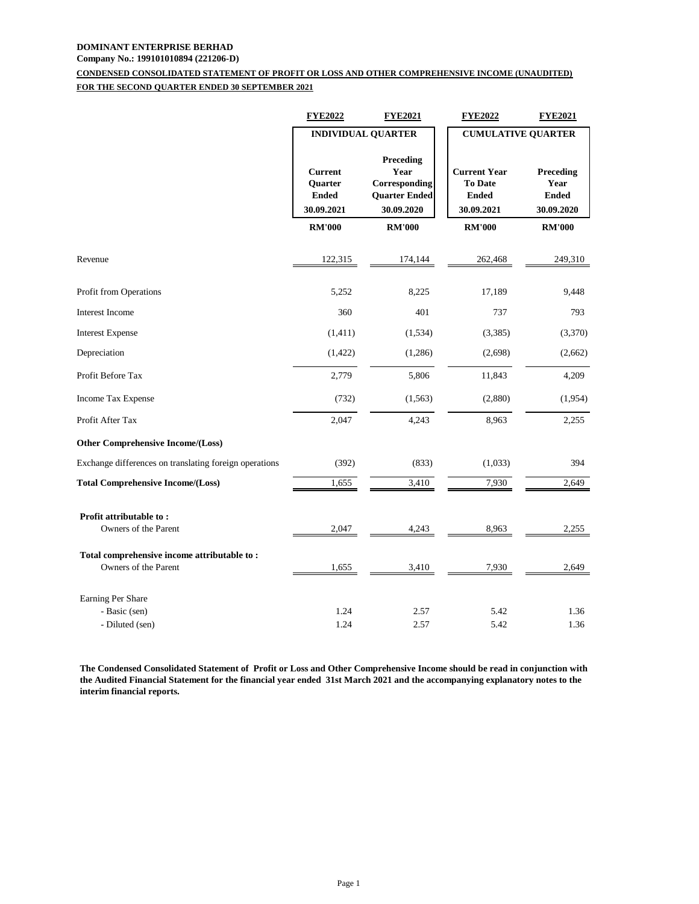# **DOMINANT ENTERPRISE BERHAD**

## **Company No.: 199101010894 (221206-D)**

## **CONDENSED CONSOLIDATED STATEMENT OF PROFIT OR LOSS AND OTHER COMPREHENSIVE INCOME (UNAUDITED) FOR THE SECOND QUARTER ENDED 30 SEPTEMBER 2021**

|                                                                     | <b>FYE2022</b>                                          | <b>FYE2021</b>                                                           | <b>FYE2022</b>                                                      | <b>FYE2021</b>                                  |
|---------------------------------------------------------------------|---------------------------------------------------------|--------------------------------------------------------------------------|---------------------------------------------------------------------|-------------------------------------------------|
|                                                                     | <b>INDIVIDUAL QUARTER</b>                               |                                                                          | <b>CUMULATIVE QUARTER</b>                                           |                                                 |
|                                                                     | <b>Current</b><br>Quarter<br><b>Ended</b><br>30.09.2021 | Preceding<br>Year<br>Corresponding<br><b>Quarter Ended</b><br>30.09.2020 | <b>Current Year</b><br><b>To Date</b><br><b>Ended</b><br>30.09.2021 | Preceding<br>Year<br><b>Ended</b><br>30.09.2020 |
|                                                                     | <b>RM'000</b>                                           | <b>RM'000</b>                                                            | <b>RM'000</b>                                                       | <b>RM'000</b>                                   |
| Revenue                                                             | 122,315                                                 | 174,144                                                                  | 262,468                                                             | 249,310                                         |
| Profit from Operations                                              | 5,252                                                   | 8,225                                                                    | 17,189                                                              | 9,448                                           |
| <b>Interest Income</b>                                              | 360                                                     | 401                                                                      | 737                                                                 | 793                                             |
| <b>Interest Expense</b>                                             | (1,411)                                                 | (1,534)                                                                  | (3,385)                                                             | (3,370)                                         |
| Depreciation                                                        | (1, 422)                                                | (1,286)                                                                  | (2,698)                                                             | (2,662)                                         |
| Profit Before Tax                                                   | 2,779                                                   | 5,806                                                                    | 11,843                                                              | 4,209                                           |
| Income Tax Expense                                                  | (732)                                                   | (1, 563)                                                                 | (2,880)                                                             | (1,954)                                         |
| Profit After Tax                                                    | 2,047                                                   | 4,243                                                                    | 8,963                                                               | 2,255                                           |
| Other Comprehensive Income/(Loss)                                   |                                                         |                                                                          |                                                                     |                                                 |
| Exchange differences on translating foreign operations              | (392)                                                   | (833)                                                                    | (1,033)                                                             | 394                                             |
| <b>Total Comprehensive Income/(Loss)</b>                            | 1,655                                                   | 3,410                                                                    | 7,930                                                               | 2,649                                           |
| Profit attributable to:<br>Owners of the Parent                     | 2,047                                                   | 4,243                                                                    | 8,963                                                               | 2,255                                           |
| Total comprehensive income attributable to:<br>Owners of the Parent | 1,655                                                   | 3,410                                                                    | 7,930                                                               | 2,649                                           |
| Earning Per Share                                                   |                                                         |                                                                          |                                                                     |                                                 |
| - Basic (sen)                                                       | 1.24                                                    | 2.57                                                                     | 5.42                                                                | 1.36                                            |
| - Diluted (sen)                                                     | 1.24                                                    | 2.57                                                                     | 5.42                                                                | 1.36                                            |

**The Condensed Consolidated Statement of Profit or Loss and Other Comprehensive Income should be read in conjunction with the Audited Financial Statement for the financial year ended 31st March 2021 and the accompanying explanatory notes to the interim financial reports.**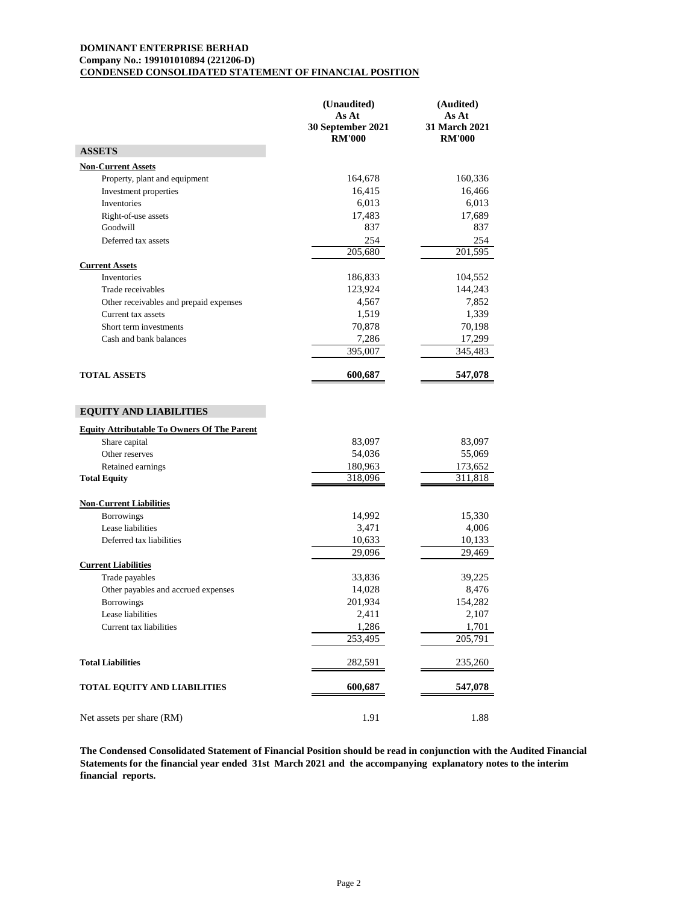### **DOMINANT ENTERPRISE BERHAD Company No.: 199101010894 (221206-D) CONDENSED CONSOLIDATED STATEMENT OF FINANCIAL POSITION**

|                                                                     | (Unaudited)<br>As At<br>30 September 2021<br><b>RM'000</b> | (Audited)<br>As At<br><b>31 March 2021</b><br><b>RM'000</b> |
|---------------------------------------------------------------------|------------------------------------------------------------|-------------------------------------------------------------|
| <b>ASSETS</b>                                                       |                                                            |                                                             |
| <b>Non-Current Assets</b>                                           |                                                            |                                                             |
| Property, plant and equipment                                       | 164,678                                                    | 160,336                                                     |
| Investment properties                                               | 16,415                                                     | 16,466                                                      |
| Inventories                                                         | 6,013                                                      | 6,013                                                       |
| Right-of-use assets                                                 | 17,483                                                     | 17,689                                                      |
| Goodwill                                                            | 837                                                        | 837                                                         |
| Deferred tax assets                                                 | 254                                                        | 254                                                         |
|                                                                     | 205,680                                                    | 201,595                                                     |
| <b>Current Assets</b>                                               |                                                            |                                                             |
| Inventories                                                         | 186,833                                                    | 104,552                                                     |
| Trade receivables                                                   | 123,924                                                    | 144,243                                                     |
| Other receivables and prepaid expenses                              | 4,567                                                      | 7,852                                                       |
| Current tax assets                                                  | 1,519                                                      | 1,339                                                       |
| Short term investments                                              | 70,878                                                     | 70,198                                                      |
| Cash and bank balances                                              | 7,286                                                      | 17,299                                                      |
|                                                                     | 395,007                                                    | 345,483                                                     |
| <b>TOTAL ASSETS</b>                                                 | 600,687                                                    | 547,078                                                     |
| <b>EQUITY AND LIABILITIES</b>                                       |                                                            |                                                             |
| <b>Equity Attributable To Owners Of The Parent</b><br>Share capital | 83,097                                                     | 83,097                                                      |
| Other reserves                                                      | 54,036                                                     | 55,069                                                      |
| Retained earnings                                                   | 180,963                                                    | 173,652                                                     |
| <b>Total Equity</b>                                                 | 318,096                                                    | 311,818                                                     |
| <b>Non-Current Liabilities</b>                                      |                                                            |                                                             |
| <b>Borrowings</b>                                                   | 14,992                                                     | 15,330                                                      |
| Lease liabilities                                                   | 3,471                                                      | 4,006                                                       |
| Deferred tax liabilities                                            | 10,633                                                     | 10,133                                                      |
|                                                                     | 29,096                                                     | 29,469                                                      |
| <b>Current Liabilities</b>                                          |                                                            |                                                             |
| Trade payables                                                      | 33,836                                                     | 39,225                                                      |
| Other payables and accrued expenses                                 | 14,028                                                     | 8,476                                                       |
| <b>Borrowings</b>                                                   | 201,934                                                    | 154,282                                                     |
| Lease liabilities                                                   | 2,411                                                      | 2,107                                                       |
| Current tax liabilities                                             | 1,286                                                      | 1,701                                                       |
|                                                                     | 253,495                                                    | 205,791                                                     |
| <b>Total Liabilities</b>                                            | 282,591                                                    | 235,260                                                     |
| TOTAL EQUITY AND LIABILITIES                                        | 600,687                                                    | 547,078                                                     |
| Net assets per share (RM)                                           | 1.91                                                       | 1.88                                                        |

**The Condensed Consolidated Statement of Financial Position should be read in conjunction with the Audited Financial Statements for the financial year ended 31st March 2021 and the accompanying explanatory notes to the interim financial reports.**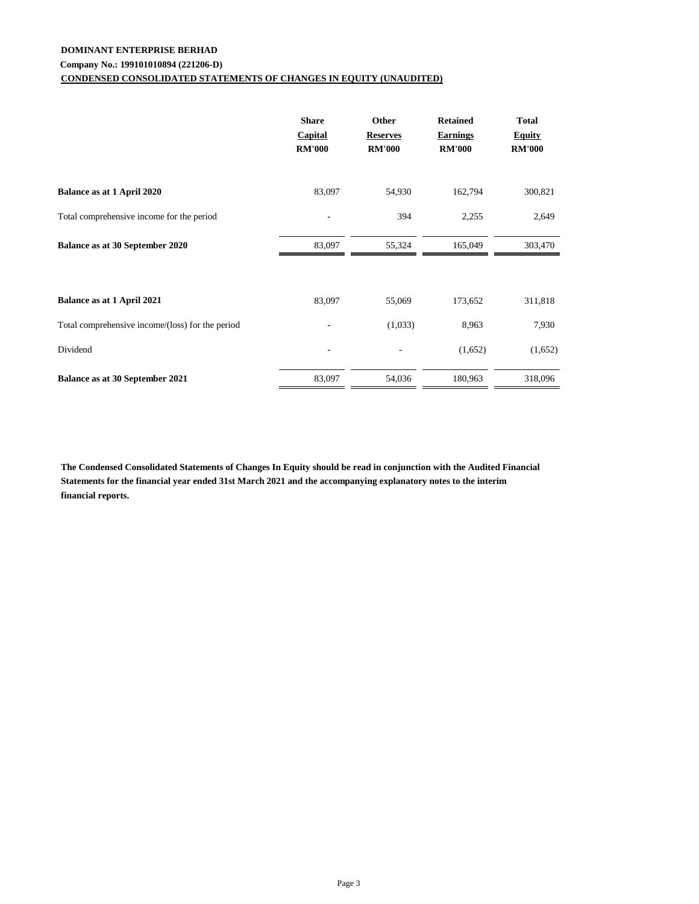## **DOMINANT ENTERPRISE BERHAD**

## **Company No.: 199101010894 (221206-D)**

## **CONDENSED CONSOLIDATED STATEMENTS OF CHANGES IN EQUITY (UNAUDITED)**

|                                                  | <b>Share</b><br><b>Capital</b><br><b>RM'000</b> | Other<br><b>Reserves</b><br><b>RM'000</b> | <b>Retained</b><br><b>Earnings</b><br><b>RM'000</b> | <b>Total</b><br><b>Equity</b><br><b>RM'000</b> |
|--------------------------------------------------|-------------------------------------------------|-------------------------------------------|-----------------------------------------------------|------------------------------------------------|
| Balance as at 1 April 2020                       | 83,097                                          | 54,930                                    | 162,794                                             | 300,821                                        |
| Total comprehensive income for the period        |                                                 | 394                                       | 2,255                                               | 2,649                                          |
| Balance as at 30 September 2020                  | 83,097                                          | 55,324                                    | 165,049                                             | 303,470                                        |
| Balance as at 1 April 2021                       | 83,097                                          | 55,069                                    | 173,652                                             | 311,818                                        |
| Total comprehensive income/(loss) for the period |                                                 | (1,033)                                   | 8,963                                               | 7,930                                          |
| Dividend                                         |                                                 |                                           | (1,652)                                             | (1,652)                                        |
| Balance as at 30 September 2021                  | 83,097                                          | 54,036                                    | 180,963                                             | 318,096                                        |

**The Condensed Consolidated Statements of Changes In Equity should be read in conjunction with the Audited Financial Statements for the financial year ended 31st March 2021 and the accompanying explanatory notes to the interim financial reports.**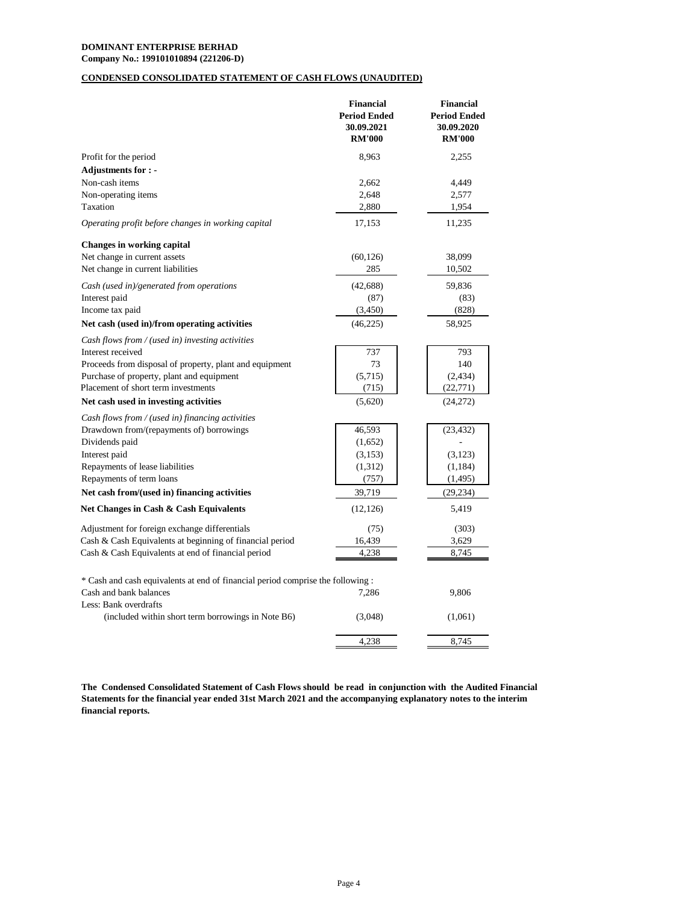## **DOMINANT ENTERPRISE BERHAD**

**Company No.: 199101010894 (221206-D)**

## **CONDENSED CONSOLIDATED STATEMENT OF CASH FLOWS (UNAUDITED)**

|                                                                                 | <b>Financial</b><br><b>Period Ended</b><br>30.09.2021<br><b>RM'000</b> | <b>Financial</b><br><b>Period Ended</b><br>30.09.2020<br><b>RM'000</b> |
|---------------------------------------------------------------------------------|------------------------------------------------------------------------|------------------------------------------------------------------------|
| Profit for the period                                                           | 8.963                                                                  | 2,255                                                                  |
| Adjustments for : -                                                             |                                                                        |                                                                        |
| Non-cash items                                                                  | 2,662                                                                  | 4,449                                                                  |
| Non-operating items                                                             | 2,648                                                                  | 2,577                                                                  |
| Taxation                                                                        | 2,880                                                                  | 1,954                                                                  |
| Operating profit before changes in working capital                              | 17,153                                                                 | 11,235                                                                 |
| <b>Changes in working capital</b>                                               |                                                                        |                                                                        |
| Net change in current assets                                                    | (60, 126)                                                              | 38,099                                                                 |
| Net change in current liabilities                                               | 285                                                                    | 10,502                                                                 |
| Cash (used in)/generated from operations                                        | (42, 688)                                                              | 59,836                                                                 |
| Interest paid                                                                   | (87)                                                                   | (83)                                                                   |
| Income tax paid                                                                 | (3,450)                                                                | (828)                                                                  |
| Net cash (used in)/from operating activities                                    | (46, 225)                                                              | 58,925                                                                 |
| Cash flows from / (used in) investing activities                                |                                                                        |                                                                        |
| Interest received                                                               | 737                                                                    | 793                                                                    |
| Proceeds from disposal of property, plant and equipment                         | 73                                                                     | 140                                                                    |
| Purchase of property, plant and equipment                                       | (5,715)                                                                | (2, 434)                                                               |
| Placement of short term investments                                             | (715)                                                                  | (22, 771)                                                              |
| Net cash used in investing activities                                           | (5,620)                                                                | (24,272)                                                               |
| Cash flows from / (used in) financing activities                                |                                                                        |                                                                        |
| Drawdown from/(repayments of) borrowings<br>Dividends paid                      | 46,593                                                                 | (23, 432)                                                              |
| Interest paid                                                                   | (1,652)<br>(3,153)                                                     | (3,123)                                                                |
| Repayments of lease liabilities                                                 | (1,312)                                                                | (1, 184)                                                               |
| Repayments of term loans                                                        | (757)                                                                  | (1, 495)                                                               |
| Net cash from/(used in) financing activities                                    | 39,719                                                                 | (29, 234)                                                              |
| Net Changes in Cash & Cash Equivalents                                          | (12, 126)                                                              | 5,419                                                                  |
| Adjustment for foreign exchange differentials                                   | (75)                                                                   | (303)                                                                  |
| Cash & Cash Equivalents at beginning of financial period                        | 16,439                                                                 | 3,629                                                                  |
| Cash & Cash Equivalents at end of financial period                              | 4,238                                                                  | 8,745                                                                  |
| * Cash and cash equivalents at end of financial period comprise the following : |                                                                        |                                                                        |
| Cash and bank balances<br>Less: Bank overdrafts                                 | 7,286                                                                  | 9,806                                                                  |
| (included within short term borrowings in Note B6)                              | (3,048)                                                                | (1,061)                                                                |
|                                                                                 | 4,238                                                                  | 8,745                                                                  |

**The Condensed Consolidated Statement of Cash Flows should be read in conjunction with the Audited Financial Statements for the financial year ended 31st March 2021 and the accompanying explanatory notes to the interim financial reports.**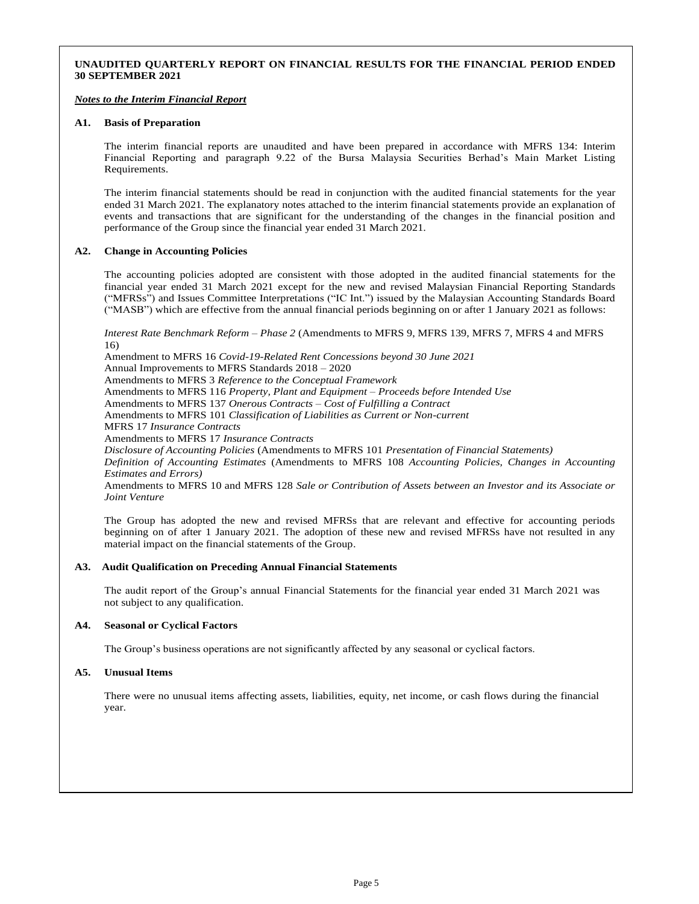#### **UNAUDITED QUARTERLY REPORT ON FINANCIAL RESULTS FOR THE FINANCIAL PERIOD ENDED 30 SEPTEMBER 2021**

#### *Notes to the Interim Financial Report*

#### **A1. Basis of Preparation**

The interim financial reports are unaudited and have been prepared in accordance with MFRS 134: Interim Financial Reporting and paragraph 9.22 of the Bursa Malaysia Securities Berhad's Main Market Listing Requirements.

The interim financial statements should be read in conjunction with the audited financial statements for the year ended 31 March 2021. The explanatory notes attached to the interim financial statements provide an explanation of events and transactions that are significant for the understanding of the changes in the financial position and performance of the Group since the financial year ended 31 March 2021.

#### **A2. Change in Accounting Policies**

The accounting policies adopted are consistent with those adopted in the audited financial statements for the financial year ended 31 March 2021 except for the new and revised Malaysian Financial Reporting Standards ("MFRSs") and Issues Committee Interpretations ("IC Int.") issued by the Malaysian Accounting Standards Board ("MASB") which are effective from the annual financial periods beginning on or after 1 January 2021 as follows:

*Interest Rate Benchmark Reform – Phase 2* (Amendments to MFRS 9, MFRS 139, MFRS 7, MFRS 4 and MFRS 16)

Amendment to MFRS 16 *Covid-19-Related Rent Concessions beyond 30 June 2021* Annual Improvements to MFRS Standards 2018 – 2020 Amendments to MFRS 3 *Reference to the Conceptual Framework* Amendments to MFRS 116 *Property, Plant and Equipment – Proceeds before Intended Use* Amendments to MFRS 137 *Onerous Contracts – Cost of Fulfilling a Contract* Amendments to MFRS 101 *Classification of Liabilities as Current or Non-current* MFRS 17 *Insurance Contracts* Amendments to MFRS 17 *Insurance Contracts Disclosure of Accounting Policies* (Amendments to MFRS 101 *Presentation of Financial Statements) Definition of Accounting Estimates* (Amendments to MFRS 108 *Accounting Policies, Changes in Accounting Estimates and Errors)* Amendments to MFRS 10 and MFRS 128 *Sale or Contribution of Assets between an Investor and its Associate or Joint Venture*

The Group has adopted the new and revised MFRSs that are relevant and effective for accounting periods beginning on of after 1 January 2021. The adoption of these new and revised MFRSs have not resulted in any material impact on the financial statements of the Group.

#### **A3. Audit Qualification on Preceding Annual Financial Statements**

The audit report of the Group's annual Financial Statements for the financial year ended 31 March 2021 was not subject to any qualification.

#### **A4. Seasonal or Cyclical Factors**

The Group's business operations are not significantly affected by any seasonal or cyclical factors.

#### **A5. Unusual Items**

There were no unusual items affecting assets, liabilities, equity, net income, or cash flows during the financial year.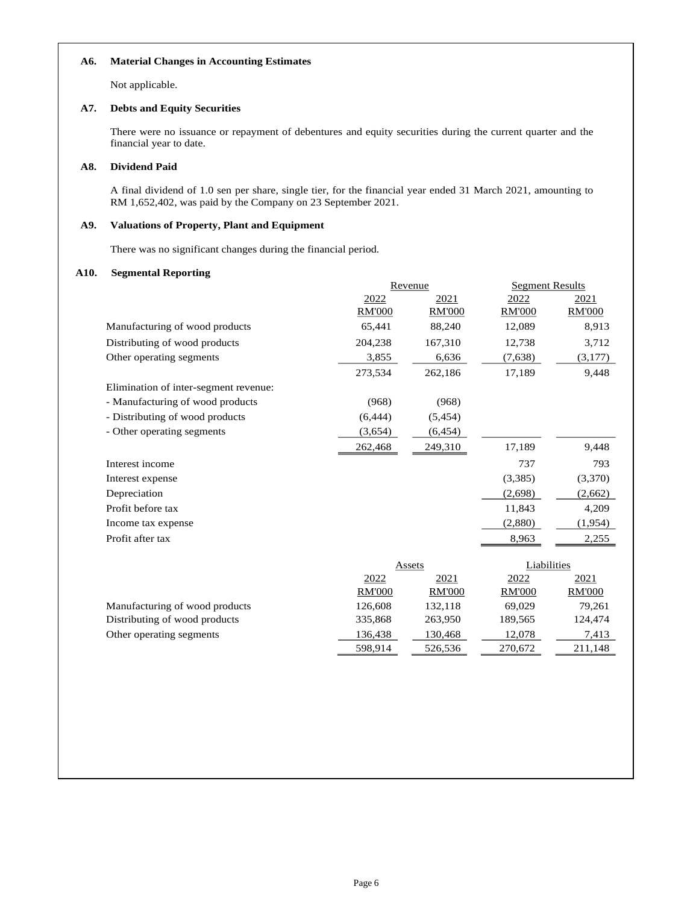#### **A6. Material Changes in Accounting Estimates**

Not applicable.

#### **A7. Debts and Equity Securities**

There were no issuance or repayment of debentures and equity securities during the current quarter and the financial year to date.

#### **A8. Dividend Paid**

A final dividend of 1.0 sen per share, single tier, for the financial year ended 31 March 2021, amounting to RM 1,652,402, was paid by the Company on 23 September 2021.

#### **A9. Valuations of Property, Plant and Equipment**

There was no significant changes during the financial period.

#### **A10. Segmental Reporting**

|                                       | Revenue       |               | <b>Segment Results</b> |               |
|---------------------------------------|---------------|---------------|------------------------|---------------|
|                                       | 2022          | 2021          | 2022                   | 2021          |
|                                       | <b>RM'000</b> | <b>RM'000</b> | <b>RM'000</b>          | <b>RM'000</b> |
| Manufacturing of wood products        | 65,441        | 88,240        | 12,089                 | 8,913         |
| Distributing of wood products         | 204,238       | 167,310       | 12,738                 | 3,712         |
| Other operating segments              | 3,855         | 6,636         | (7,638)                | (3,177)       |
|                                       | 273,534       | 262,186       | 17,189                 | 9,448         |
| Elimination of inter-segment revenue: |               |               |                        |               |
| - Manufacturing of wood products      | (968)         | (968)         |                        |               |
| - Distributing of wood products       | (6, 444)      | (5, 454)      |                        |               |
| - Other operating segments            | (3,654)       | (6, 454)      |                        |               |
|                                       | 262,468       | 249,310       | 17,189                 | 9,448         |
| Interest income                       |               |               | 737                    | 793           |
| Interest expense                      |               |               | (3,385)                | (3,370)       |
| Depreciation                          |               |               | (2,698)                | (2,662)       |
| Profit before tax                     |               |               | 11,843                 | 4,209         |
| Income tax expense                    |               |               | (2,880)                | (1,954)       |
| Profit after tax                      |               |               | 8,963                  | 2,255         |
|                                       |               |               |                        |               |
|                                       |               | Assets        | Liabilities            |               |
|                                       | 2022          | 2021          | 2022                   | 2021          |
|                                       | <b>RM'000</b> | <b>RM'000</b> | <b>RM'000</b>          | <b>RM'000</b> |
| Manufacturing of wood products        | 126,608       | 132,118       | 69,029                 | 79,261        |
| Distributing of wood products         | 335,868       | 263,950       | 189,565                | 124,474       |
| Other operating segments              | 136,438       | 130,468       | 12,078                 | 7,413         |
|                                       | 598,914       | 526,536       | 270,672                | 211,148       |
|                                       |               |               |                        |               |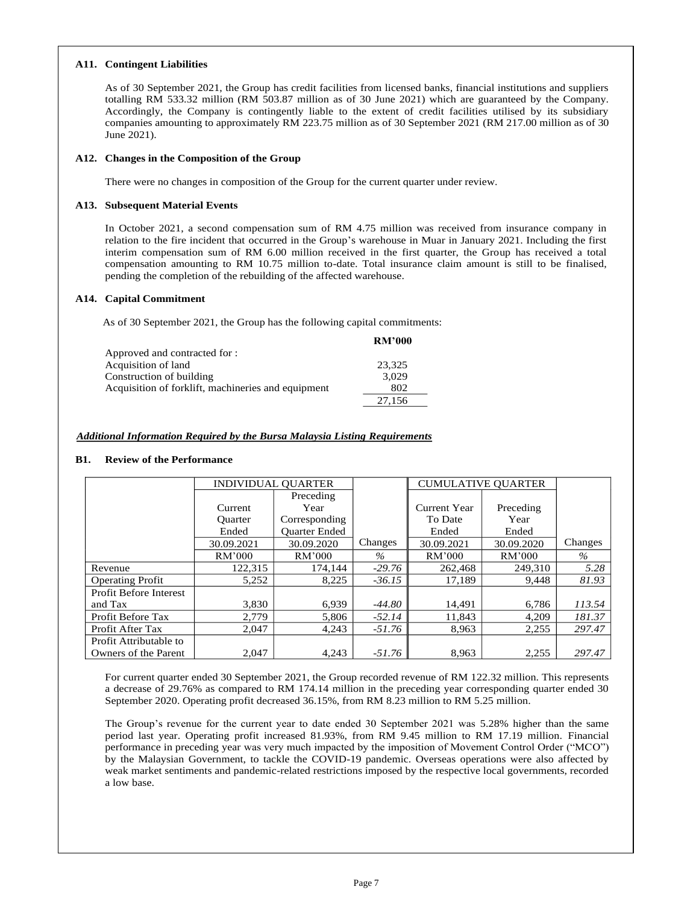#### **A11. Contingent Liabilities**

As of 30 September 2021, the Group has credit facilities from licensed banks, financial institutions and suppliers totalling RM 533.32 million (RM 503.87 million as of 30 June 2021) which are guaranteed by the Company. Accordingly, the Company is contingently liable to the extent of credit facilities utilised by its subsidiary companies amounting to approximately RM 223.75 million as of 30 September 2021 (RM 217.00 million as of 30 June 2021).

#### **A12. Changes in the Composition of the Group**

There were no changes in composition of the Group for the current quarter under review.

### **A13. Subsequent Material Events**

In October 2021, a second compensation sum of RM 4.75 million was received from insurance company in relation to the fire incident that occurred in the Group's warehouse in Muar in January 2021. Including the first interim compensation sum of RM 6.00 million received in the first quarter, the Group has received a total compensation amounting to RM 10.75 million to-date. Total insurance claim amount is still to be finalised, pending the completion of the rebuilding of the affected warehouse.

#### **A14. Capital Commitment**

As of 30 September 2021, the Group has the following capital commitments:

|                                                    | <b>RM'000</b> |
|----------------------------------------------------|---------------|
| Approved and contracted for :                      |               |
| Acquisition of land                                | 23,325        |
| Construction of building                           | 3.029         |
| Acquisition of forklift, machineries and equipment | 802           |
|                                                    | 27.156        |

### *Additional Information Required by the Bursa Malaysia Listing Requirements*

#### **B1. Review of the Performance**

|                               | <b>INDIVIDUAL OUARTER</b> |                      |               | <b>CUMULATIVE OUARTER</b> |            |         |
|-------------------------------|---------------------------|----------------------|---------------|---------------------------|------------|---------|
|                               |                           | Preceding            |               |                           |            |         |
|                               | Current                   | Year                 |               | Current Year              | Preceding  |         |
|                               | Ouarter                   | Corresponding        |               | To Date                   | Year       |         |
|                               | Ended                     | <b>Ouarter Ended</b> |               | Ended                     | Ended      |         |
|                               | 30.09.2021                | 30.09.2020           | Changes       | 30.09.2021                | 30.09.2020 | Changes |
|                               | RM'000                    | RM'000               | $\frac{0}{6}$ | RM'000                    | RM'000     | $\%$    |
| Revenue                       | 122.315                   | 174.144              | $-29.76$      | 262,468                   | 249,310    | 5.28    |
| <b>Operating Profit</b>       | 5,252                     | 8,225                | $-36.15$      | 17.189                    | 9.448      | 81.93   |
| <b>Profit Before Interest</b> |                           |                      |               |                           |            |         |
| and Tax                       | 3,830                     | 6.939                | $-44.80$      | 14,491                    | 6.786      | 113.54  |
| Profit Before Tax             | 2.779                     | 5,806                | $-52.14$      | 11,843                    | 4,209      | 181.37  |
| Profit After Tax              | 2,047                     | 4,243                | $-51.76$      | 8,963                     | 2,255      | 297.47  |
| Profit Attributable to        |                           |                      |               |                           |            |         |
| Owners of the Parent          | 2.047                     | 4.243                | $-51.76$      | 8.963                     | 2.255      | 297.47  |

For current quarter ended 30 September 2021, the Group recorded revenue of RM 122.32 million. This represents a decrease of 29.76% as compared to RM 174.14 million in the preceding year corresponding quarter ended 30 September 2020. Operating profit decreased 36.15%, from RM 8.23 million to RM 5.25 million.

The Group's revenue for the current year to date ended 30 September 2021 was 5.28% higher than the same period last year. Operating profit increased 81.93%, from RM 9.45 million to RM 17.19 million. Financial performance in preceding year was very much impacted by the imposition of Movement Control Order ("MCO") by the Malaysian Government, to tackle the COVID-19 pandemic. Overseas operations were also affected by weak market sentiments and pandemic-related restrictions imposed by the respective local governments, recorded a low base.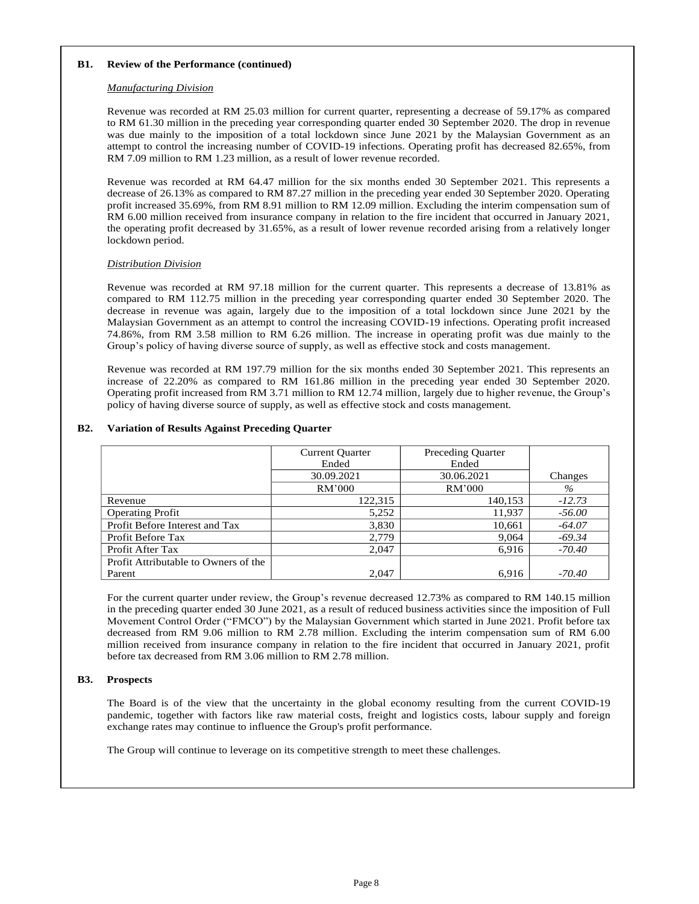#### **B1. Review of the Performance (continued)**

#### *Manufacturing Division*

Revenue was recorded at RM 25.03 million for current quarter, representing a decrease of 59.17% as compared to RM 61.30 million in the preceding year corresponding quarter ended 30 September 2020. The drop in revenue was due mainly to the imposition of a total lockdown since June 2021 by the Malaysian Government as an attempt to control the increasing number of COVID-19 infections. Operating profit has decreased 82.65%, from RM 7.09 million to RM 1.23 million, as a result of lower revenue recorded.

Revenue was recorded at RM 64.47 million for the six months ended 30 September 2021. This represents a decrease of 26.13% as compared to RM 87.27 million in the preceding year ended 30 September 2020. Operating profit increased 35.69%, from RM 8.91 million to RM 12.09 million. Excluding the interim compensation sum of RM 6.00 million received from insurance company in relation to the fire incident that occurred in January 2021, the operating profit decreased by 31.65%, as a result of lower revenue recorded arising from a relatively longer lockdown period.

### *Distribution Division*

Revenue was recorded at RM 97.18 million for the current quarter. This represents a decrease of 13.81% as compared to RM 112.75 million in the preceding year corresponding quarter ended 30 September 2020. The decrease in revenue was again, largely due to the imposition of a total lockdown since June 2021 by the Malaysian Government as an attempt to control the increasing COVID-19 infections. Operating profit increased 74.86%, from RM 3.58 million to RM 6.26 million. The increase in operating profit was due mainly to the Group's policy of having diverse source of supply, as well as effective stock and costs management.

Revenue was recorded at RM 197.79 million for the six months ended 30 September 2021. This represents an increase of 22.20% as compared to RM 161.86 million in the preceding year ended 30 September 2020. Operating profit increased from RM 3.71 million to RM 12.74 million, largely due to higher revenue, the Group's policy of having diverse source of supply, as well as effective stock and costs management.

### **B2. Variation of Results Against Preceding Quarter**

|                                      | <b>Current Quarter</b> | <b>Preceding Quarter</b> |          |
|--------------------------------------|------------------------|--------------------------|----------|
|                                      | Ended                  | Ended                    |          |
|                                      | 30.09.2021             | 30.06.2021               | Changes  |
|                                      | RM'000                 | RM'000                   | $\%$     |
| Revenue                              | 122,315                | 140,153                  | $-12.73$ |
| <b>Operating Profit</b>              | 5,252                  | 11,937                   | $-56.00$ |
| Profit Before Interest and Tax       | 3,830                  | 10,661                   | $-64.07$ |
| Profit Before Tax                    | 2,779                  | 9,064                    | $-69.34$ |
| Profit After Tax                     | 2.047                  | 6,916                    | $-70.40$ |
| Profit Attributable to Owners of the |                        |                          |          |
| Parent                               | 2.047                  | 6,916                    | $-70.40$ |

For the current quarter under review, the Group's revenue decreased 12.73% as compared to RM 140.15 million in the preceding quarter ended 30 June 2021, as a result of reduced business activities since the imposition of Full Movement Control Order ("FMCO") by the Malaysian Government which started in June 2021. Profit before tax decreased from RM 9.06 million to RM 2.78 million. Excluding the interim compensation sum of RM 6.00 million received from insurance company in relation to the fire incident that occurred in January 2021, profit before tax decreased from RM 3.06 million to RM 2.78 million.

### **B3. Prospects**

The Board is of the view that the uncertainty in the global economy resulting from the current COVID-19 pandemic, together with factors like raw material costs, freight and logistics costs, labour supply and foreign exchange rates may continue to influence the Group's profit performance.

The Group will continue to leverage on its competitive strength to meet these challenges.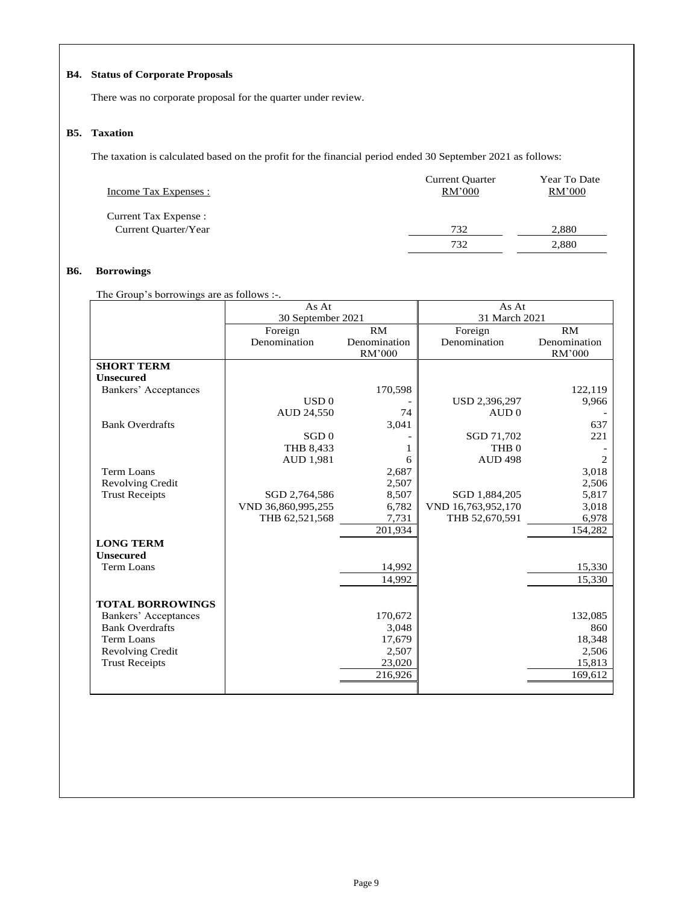## **B4. Status of Corporate Proposals**

There was no corporate proposal for the quarter under review.

### **B5. Taxation**

The taxation is calculated based on the profit for the financial period ended 30 September 2021 as follows:

| Income Tax Expenses : | <b>Current Quarter</b><br>RM'000 | Year To Date<br>RM'000 |
|-----------------------|----------------------------------|------------------------|
| Current Tax Expense : |                                  |                        |
| Current Quarter/Year  | 732                              | 2,880                  |
|                       | 732                              | 2,880                  |

## **B6. Borrowings**

The Group's borrowings are as follows :-.

|                         | As At              |              | As At              |                |
|-------------------------|--------------------|--------------|--------------------|----------------|
|                         | 30 September 2021  |              | 31 March 2021      |                |
|                         | Foreign            | RM           | Foreign            | RM             |
|                         | Denomination       | Denomination | Denomination       | Denomination   |
|                         |                    | RM'000       |                    | RM'000         |
| <b>SHORT TERM</b>       |                    |              |                    |                |
| <b>Unsecured</b>        |                    |              |                    |                |
| Bankers' Acceptances    |                    | 170,598      |                    | 122,119        |
|                         | USD <sub>0</sub>   |              | USD 2,396,297      | 9,966          |
|                         | AUD 24,550         | 74           | AUD0               |                |
| <b>Bank Overdrafts</b>  |                    | 3,041        |                    | 637            |
|                         | SGD <sub>0</sub>   |              | SGD 71,702         | 221            |
|                         | THB 8,433          |              | THB <sub>0</sub>   |                |
|                         | AUD 1,981          | 6            | <b>AUD 498</b>     | $\overline{c}$ |
| <b>Term Loans</b>       |                    | 2,687        |                    | 3,018          |
| Revolving Credit        |                    | 2,507        |                    | 2,506          |
| <b>Trust Receipts</b>   | SGD 2,764,586      | 8,507        | SGD 1,884,205      | 5,817          |
|                         | VND 36,860,995,255 | 6,782        | VND 16,763,952,170 | 3,018          |
|                         | THB 62,521,568     | 7,731        | THB 52,670,591     | 6,978          |
|                         |                    | 201,934      |                    | 154,282        |
| <b>LONG TERM</b>        |                    |              |                    |                |
| <b>Unsecured</b>        |                    |              |                    |                |
| <b>Term Loans</b>       |                    | 14,992       |                    | 15,330         |
|                         |                    | 14,992       |                    | 15,330         |
|                         |                    |              |                    |                |
| <b>TOTAL BORROWINGS</b> |                    |              |                    |                |
| Bankers' Acceptances    |                    | 170,672      |                    | 132,085        |
| <b>Bank Overdrafts</b>  |                    | 3,048        |                    | 860            |
| <b>Term Loans</b>       |                    | 17,679       |                    | 18,348         |
| <b>Revolving Credit</b> |                    | 2,507        |                    | 2,506          |
| <b>Trust Receipts</b>   |                    | 23,020       |                    | 15,813         |
|                         |                    | 216,926      |                    | 169,612        |
|                         |                    |              |                    |                |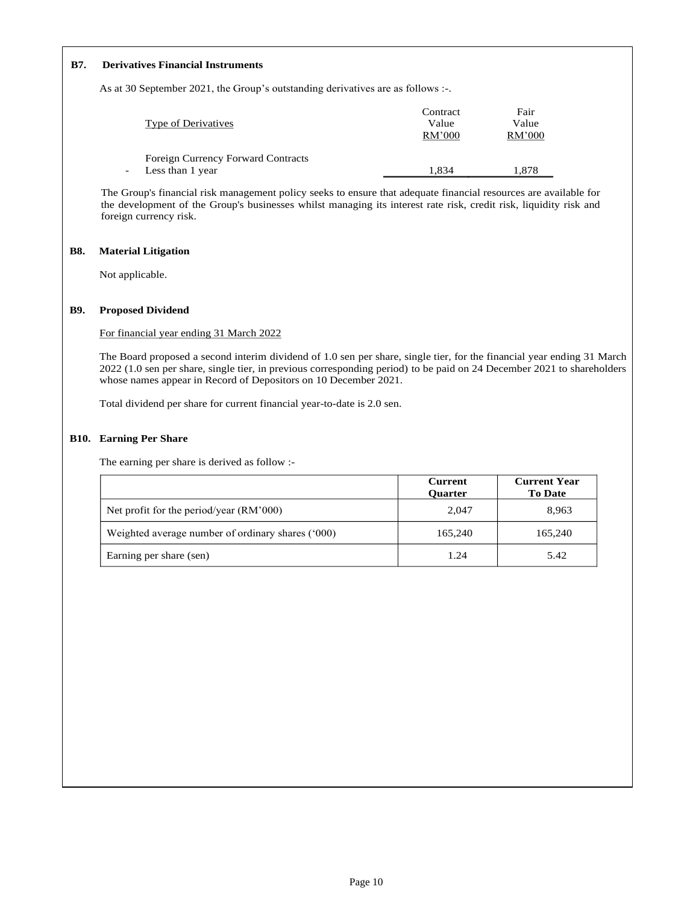### **B7. Derivatives Financial Instruments**

As at 30 September 2021, the Group's outstanding derivatives are as follows :-.

|                                           | Contract | Fair   |
|-------------------------------------------|----------|--------|
| <b>Type of Derivatives</b>                | Value    | Value  |
|                                           | RM'000   | RM'000 |
| <b>Foreign Currency Forward Contracts</b> |          |        |
|                                           |          |        |
| Less than 1 year                          | 1.834    | 1.878  |

The Group's financial risk management policy seeks to ensure that adequate financial resources are available for the development of the Group's businesses whilst managing its interest rate risk, credit risk, liquidity risk and foreign currency risk.

### **B8. Material Litigation**

Not applicable.

#### **B9. Proposed Dividend**

For financial year ending 31 March 2022

The Board proposed a second interim dividend of 1.0 sen per share, single tier, for the financial year ending 31 March 2022 (1.0 sen per share, single tier, in previous corresponding period) to be paid on 24 December 2021 to shareholders whose names appear in Record of Depositors on 10 December 2021.

Total dividend per share for current financial year-to-date is 2.0 sen.

#### **B10. Earning Per Share**

The earning per share is derived as follow :-

|                                                   | <b>Current</b><br><b>Ouarter</b> | <b>Current Year</b><br><b>To Date</b> |
|---------------------------------------------------|----------------------------------|---------------------------------------|
| Net profit for the period/year (RM'000)           | 2.047                            | 8.963                                 |
| Weighted average number of ordinary shares ('000) | 165,240                          | 165,240                               |
| Earning per share (sen)                           | 1.24                             | 5.42                                  |